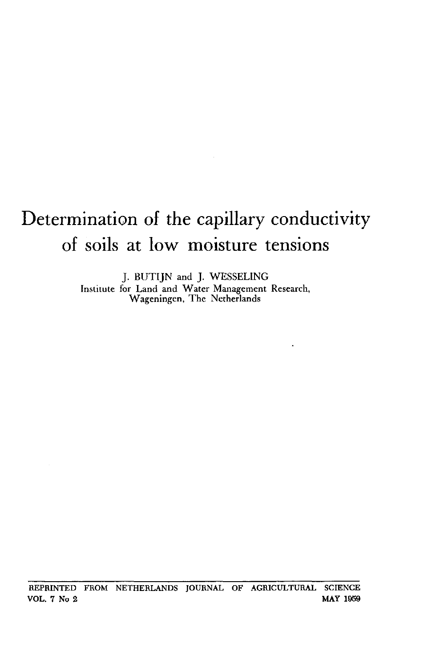# Determination of the capillary conductivity of soils at low moisture tensions

J. BUTIJN and J. WESSELING Institute for Land and Water Management Resea Wageningen, The Netherland

 $\bullet$ 

REPRINTED FROM NETHERLANDS JOURNAL OF AGRICULTURAL SCIENCE VOL. 7 No 2 MAY 1959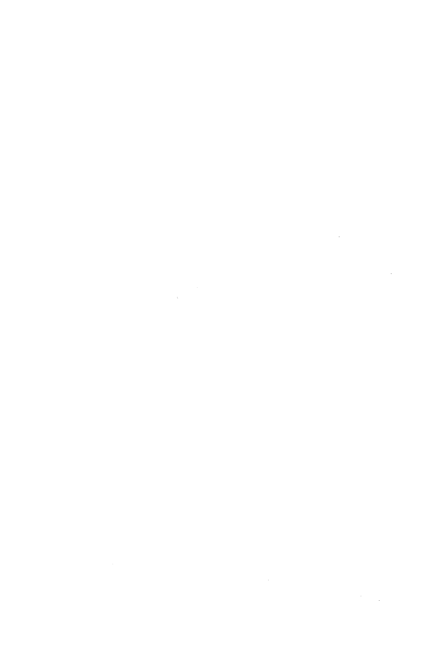$\label{eq:2.1} \frac{1}{\sqrt{2}}\int_{\mathbb{R}^3}\frac{1}{\sqrt{2}}\left(\frac{1}{\sqrt{2}}\right)^2\frac{1}{\sqrt{2}}\left(\frac{1}{\sqrt{2}}\right)^2\frac{1}{\sqrt{2}}\left(\frac{1}{\sqrt{2}}\right)^2\frac{1}{\sqrt{2}}\left(\frac{1}{\sqrt{2}}\right)^2.$ 

 $\label{eq:2.1} \begin{split} \mathcal{L}_{\text{max}}(\mathbf{r}) = \frac{1}{2} \sum_{i=1}^{N} \mathcal{L}_{\text{max}}(\mathbf{r}) \mathcal{L}_{\text{max}}(\mathbf{r}) \\ \mathcal{L}_{\text{max}}(\mathbf{r}) = \frac{1}{2} \sum_{i=1}^{N} \mathcal{L}_{\text{max}}(\mathbf{r}) \mathcal{L}_{\text{max}}(\mathbf{r}) \end{split}$ 

 $\mathcal{L}^{\text{max}}_{\text{max}}$  and  $\mathcal{L}^{\text{max}}_{\text{max}}$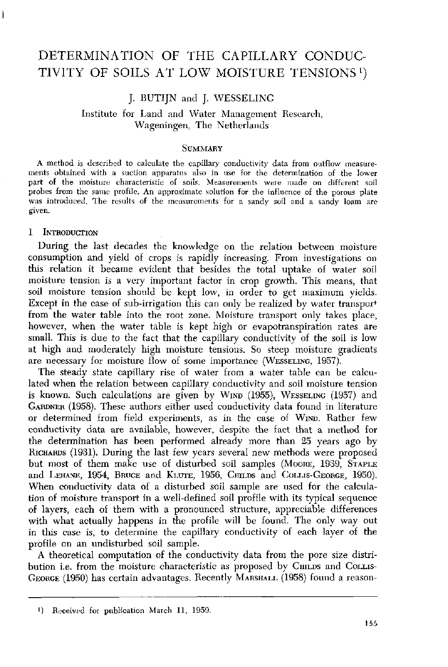# DETERMINATION OF THE CAPILLARY CONDUC-TIVITY OF SOILS AT LOW MOISTURE TENSION

J. BUTIJN and J. WESSELING

Institute for Land and Water Management Research, Wageningen, The Netherlands

#### **SUMMARY**

A method is described to calculate the capillary conductivity data from outflow measurements obtained with a suction apparatus also in use for the determination of the lower part of the moisture characteristic of soils. Measurements were made on different soil probes from the same profile. An approximate solution for the influence of the porous plate was introduced. The results of the measurements for a sandy soil and a sandy loam are given.

# 1 INTRODUCTION

During the last decades the knowledge on the relation between moisture consumption and yield of crops is rapidly increasing. From investigations on this relation it became evident that besides the total uptake of water soil moisture tension is a very important factor in crop growth. This means, that soil moisture tension should be kept low, in order to get maximum yields. Except in the case of sub-irrigation this can only be realized by water transport from the water table into the root zone. Moisture transport only takes place, however, when the water table is kept high or evapotranspiration rates are small. This is due to the fact that the capillary conductivity of the soil is low at high and moderately high moisture tensions. So steep moisture gradients are necessary for moisture flow of some importance (WESSELING, 1957).

The steady state capillary rise of water from a water table can be calculated when the relation between capillary conductivity and soil moisture tension is known. Such calculations are given by WIND (1955), WESSELING (1957) and GARDNER (1958). These authors either used conductivity data found in literature or determined from field experiments, as in the case of WIND. Rather few conductivity data are available, however, despite the fact that a method for the determination has been performed already more than 25 years ago by RICHARDS (1931). During the last few years several new methods were proposed but most of them make use of disturbed soil samples (MOORE, 1939, STAPLE and LEHANE, 1954, BRUCE and KLUTE, 1956, CHILDS and COLLIS-GEORGE, 1950). When conductivity data of a disturbed soil sample are used for the calculation of moisture transport in a well-defined soil profile with its typical sequence of layers, each of them with a pronounced structure, appreciable differences with what actually happens in the profile will be found. The only way out in this case is, to determine the capillary conductivity of each layer of the profile on an undisturbed soil sample.

A theoretical computation of the conductivity data from the pore size distribution i.e. from the moisture characteristic as proposed by CHILDS and COLLIS-GEORGE (1950) has certain advantages. Recently MARSHALL (1958) found a reason-

<sup>&</sup>lt;sup>1</sup>) Received for publication March 11, 19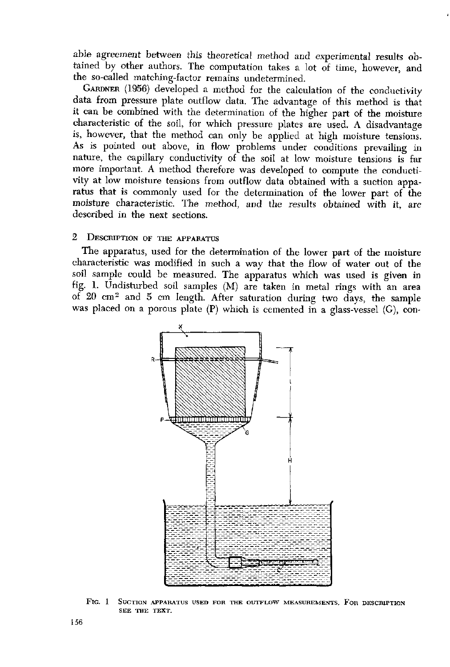able agreement between this theoretical method and experimental results obtained by other authors. The computation takes a lot of time, however, and the so-called matching-factor remains undetermined.

GARDNER (1956) developed a method for the calculation of the conductivity data from pressure plate outflow data. The advantage of this method is that it can be combined with the determination of the higher part of the moisture characteristic of the soil, for which pressure plates are used. A disadvantage is, however, that the method can only be applied at high moisture tensions. As is pointed out above, in flow problems under conditions prevailing in nature, the capillary conductivity of the soil at low moisture tensions is far more important. A method therefore was developed to compute the conductivity at low moisture tensions from outflow data obtained with a suction apparatus that is commonly used for the determination of the lower part of the moisture characteristic. The method, and the results obtained with it, are described in the next sections.

# 2 DESCRIPTION OF THE APPARATUS

The apparatus, used for the determination of the lower part of the moisture characteristic was modified in such a way that the flow of water out of the soil sample could be measured. The apparatus which was used is given in fig. 1. Undisturbed soil samples (M) are taken in metal rings with an area of 20 cm<sup>2</sup> and 5 cm length. After saturation during two days, the was placed on a porous plate (P) which is cemented in a glass-vessel (G), con-



FIG. 1 SUCTION APPARATUS USED FOR THE OUTFLOW MEASUREMENTS. FOR DESCRIPTION SEE THE TEXT.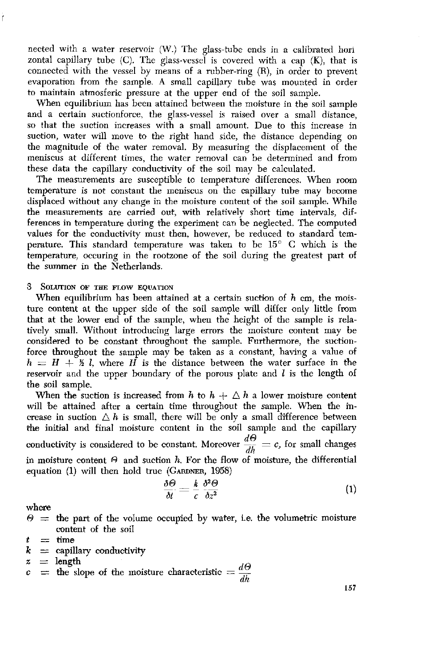nected with a water reservoir (W.) The glass-tube ends in a calibrated hori zontal capillary tube  $(C)$ . The glass-vessel is covered with a cap  $(K)$ , that is connected with the vessel by means of a rubber-ring (R), in order to prevent evaporation from the sample. A small capillary tube was mounted in order to maintain atmosferic pressure at the upper end of the soil sample.

When equilibrium has been attained between the moisture in the soil sample and a certain suctionforce, the glass-vessel is raised over a small distance, so that the suction increases with a small amount. Due to this increase in suction, water will move to the right hand side, the distance depending on the magnitude of the water removal. Ry measuring the displacement of the meniscus at different times, the water removal can be determined and from these data the capillary conductivity of the soil may be calculated.

The measurements are susceptible to temperature differences. When room temperature is not constant the meniscus on the capillary tube may become displaced without any change in the moisture content of the soil sample. While the measurements are carried out, with relatively short time intervals, differences in temperature during the experiment can be neglected. The computed values for the conductivity must then, however, be reduced to standard temperature. This standard temperature was taken to be 15° C which is the temperature, occuring in the rootzone of the soil during the greatest part of the summer in the Netherlands.

# 3 SOLUTION OF THE FLOW EQUATION

When equilibrium has been attained at a certain suction of *h* cm, the moisture content at the upper side of the soil sample will differ only little from that at the lower end of the sample, when the height of the sample is relatively small. Without introducing large errors the moisture content may be considered to be constant throughout the sample. Furthermore, the suctionforce throughout the sample may be taken as a constant, having a value of  $h = H + k l$ , where *H* is the distance between the water surface in the reservoir and the upper boundary of the porous plate and *I* is the length of the soil sample.

When the suction is increased from *h* to  $h + \Delta h$  a lower moisture content will be attained after a certain time throughout the sample. When the increase in suction  $\Delta h$  is small, there will be only a small difference between the initial and final moisture content in the soil sample and the capillary conductivity is considered to be constant. Moreover  $\frac{d\Theta}{dh} = c$ , for small changes in moisture content  $\Theta$  and suction h. For the flow of moisture, the differential equation (1) will then hold true (GARDNER, 1958)

$$
\frac{\delta\Theta}{\delta t} = \frac{k}{c} \frac{\delta^2 \Theta}{\delta z^2} \tag{1}
$$

*dh* 

where

 $\mathbf{f}$ 

 $\Theta =$  the part of the volume occupied by water, i.e. the volumetric moisture content of the soil

- $=$  time
- $k =$  capillary conductivity

 $z = \text{length}$  density density density density density density density density density density density density density of  $d$ 

 $c =$  the slope of the moisture characteristic =

157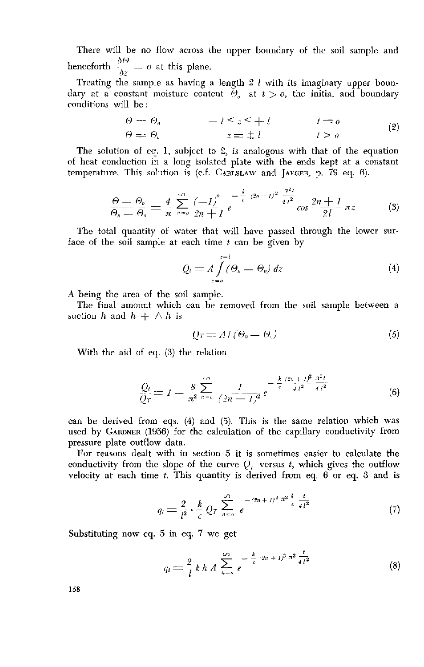There will be no flow across the upper boundary of the soil sample and henceforth  $\frac{\delta \Theta}{\delta z} = o$  at this pla

Treating the sample as having a length *2 I* with its imaginary upper boundary at a constant moisture content  $\Theta_{\rho}$  at  $t > \rho$ , the initial and boundary conditions will be :

$$
\Theta = \Theta_n \qquad -l < z < +l \qquad t = 0 \qquad (2)
$$
\n
$$
\Theta = \Theta_o \qquad z = \pm l \qquad t > 0
$$

The solution of eq. 1, subject to 2, is analogous with that of the equation of heat conduction in a long isolated plate with the ends kept at a constant temperature. This solution is (c.f.  $C_{ARLSLAW}$  and JAEGER, p. 79 eq. 6).

$$
\frac{\Theta-\Theta_o}{\Theta_n-\Theta_o}=\frac{4}{\pi}\sum_{n=0}^{\infty}\frac{(-1)^n}{2n+1}e^{-\frac{k}{c}(2n+1)^2\frac{\pi^2t}{4l^2}}\cos\frac{2n+1}{2l}\pi z
$$
 (3)

The total quantity of water that will have passed through the lower surface of the soil sample at each time *t* can be given by

$$
Q_{l}=A\int\limits_{z=o}^{z=l}(\Theta_{n}=\Theta_{o})\,dz\qquad \qquad (4)
$$

*A* being the area of the soil sample.

The final amount which can be removed from the soil sample between a suction *h* and  $h + \Delta h$  is

$$
Q_T = A \, I \, (\Theta_n \longrightarrow \Theta_o) \tag{5}
$$

With the aid of eq. (3) the relation

$$
\frac{Q_t}{Q_T} = I - \frac{8}{\pi^2} \sum_{n=0}^{\infty} \frac{1}{(2n+1)^2} e^{-\frac{k}{c} \frac{(2n+1)^2}{4t^2} \frac{\pi^2 t}{4t^2}} \tag{6}
$$

can be derived from eqs. (4) and (5). This is the same relation which was used by GARDNER (1956) for the calculation of the capillary conductivity from pressure plate outflow data.

For reasons dealt with in section 5 it is sometimes easier to calculate the conductivity from the slope of the curve  $Q_t$  versus t, which gives the velocity at each time *t.* This quantity is derived from eq. 6 or eq. 3 and is

$$
q_{l} = \frac{2}{l^{2}} \cdot \frac{k}{c} Q_{T} \sum_{n=0}^{5} e^{-(2n+1)^{2} \pi^{2} \frac{k}{c} \frac{t}{4l^{2}}}
$$
(7)

Substituting now eq. 5 in eq. 7 we get

$$
q_{l} = \frac{2}{l} k h A \sum_{n=0}^{N} e^{-\frac{k}{c}(2n+1)^{2} \pi^{2} \frac{t}{4l^{2}}}
$$
(8)

158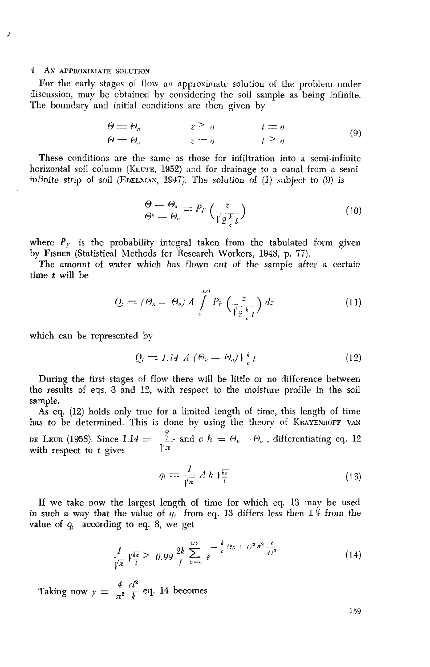# 4 AN APPROXIMATE SOLUTION

For the early stages of flow an approximate solution of the problem under discussion, may be obtained by considering the soil sample as being infinite. The boundary and initial conditions are then given by

$$
\begin{array}{ll}\n\Theta = \Theta_n & z \geq 0 & t = 0 \\
\Theta = \Theta_o & z = 0 & t \geq 0\n\end{array} \tag{9}
$$

These conditions are the same as those for infiltration into a semi-infinite horizontal soil column (KLUTE, 1952) and for drainage to a canal from a semiinfinite strip of soil (EDELMAN, 1947). The solution of  $(1)$  subject to  $(9)$  is

$$
\frac{\Theta - \Theta_v}{\Theta^u - \Theta_v} = P_F \left( \frac{z}{\sqrt{2\frac{k}{\epsilon}}t} \right) \tag{10}
$$

where  $P_F$  is the probability integral taken from the tabulated form given by FISHER (Statistical Methods for Research Workers, 1948, p. 77).

The amount of water which has flown out of the sample after a certain time *t* will be

$$
Q_t = (\Theta_n - \Theta_o) A \int_o^{\Theta} P_F \left( \frac{z}{\sqrt{2} \frac{k}{c} t} \right) dz \qquad (11)
$$

which can be represented by

$$
Q_t = I \cdot I4 \cdot A \cdot (\Theta_n - \Theta_o) \cdot \frac{k}{\epsilon} t \tag{12}
$$

During the first stages of flow there will be little or no difference between the results of eqs. 3 and 12, with respect to the moisture profile in the soil sample.

As eq. (12) holds only true for a limited length of time, this length of time has to be determined. This is done by using the theory of KRAYENHOFF VAN DE LEUR (1958). Since  $1.14 = \frac{2}{\sqrt{2}}$  and  $c \ h = \Theta_n - \Theta_o$  , differentiating with respect to *t* gives

$$
q_t = \frac{1}{\sqrt{\pi}} A h \, \mathcal{F}^{\overline{k\epsilon}}_t \tag{13}
$$

If we take now the largest length of time for which eq. 13 may be used in such a way that the value of  $q_t$  from eq. 13 differs less then  $1\,\%$ value of  $q_t$  according to eq. 8, we

$$
\frac{1}{\sqrt{\pi}}\,\gamma\frac{\overline{k\epsilon}}{t} > 0.99\,\frac{2k}{l}\,\sum_{n=0}^{\infty}\,e^{-\frac{k}{c}(2n\,\div\,t)^2\,\pi^2\,\frac{t}{4\,t^2}}\tag{14}
$$

Taking now  $\gamma = \frac{4}{\pi^2} \frac{d^2}{b}$  eq. 14 becomes

159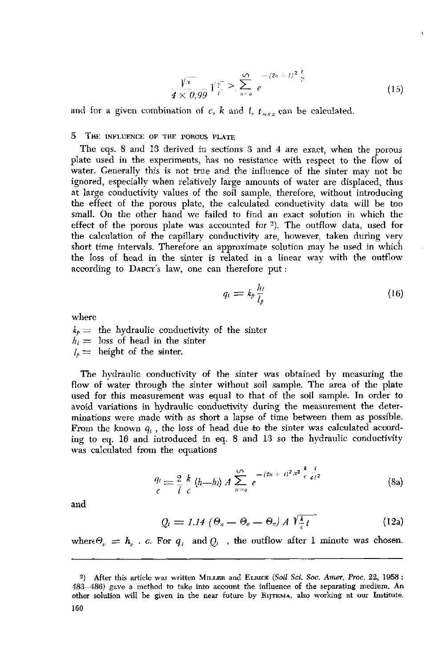$$
\frac{\sqrt{\pi}}{4 \times 0.99} \sqrt[n]{\frac{v}{t}} > \sum_{n=0}^{\infty} \frac{-(2n+1)^2 \frac{t}{t}}{e}
$$
\n(15)

and for a given combination of  $c$ ,  $k$  and  $l$ ,  $t_{max}$  can be calculated.

# 5 THE INFLUENCE OF THE POROUS PLATE

The eqs. 8 and 13 derived in sections 3 and 4 are exact, when the porous plate used in the experiments, has no resistance with respect to the flow of water. Generally this is not true and the influence of the sinter may not be ignored, especially when relatively large amounts of water are displaced, thus at large conductivity values of the soil sample, therefore, without introducing the effect of the porous plate, the calculated conductivity data will be too small. On the other hand we failed to find an exact solution in which the effect of the porous plate was accounted for  $2$ ). The outflow data, used for  $2$ the calculation of the capillary conductivity are, however, taken during very short time intervals. Therefore an approximate solution may be used in which the loss of head in the sinter is related in a linear way with the outflow according to DARCY's law, one can therefore put :

$$
q_l = k_p \frac{h_l}{l_p} \tag{16}
$$

where

 $k_p =$  the hydraulic conductivity of the sinter  $h_l =$  loss of head in the sinter  $l_p =$  height of the sinter.

The hydraulic conductivity of the sinter was obtained by measuring the flow of water through the sinter without soil sample. The area of the plate used for this measurement was equal to that of the soil sample. In order to avoid variations in hydraulic conductivity during the measurement the determinations were made with as short a lapse of time between them as possible. From the known  $q_t$ , the loss of head due to the sinter was calculated ing to eq. 16 and introduced in eq. 8 and 13 so the hydraulic conductivity was calculated from the equations

$$
\frac{q_t}{c} = \frac{2}{l} \frac{k}{c} (h - h_l) A \sum_{n=0}^{\infty} e^{-(2n+1)^2 \pi^2 \frac{k}{c} \frac{l}{4l^2}}
$$
(8a)

and

$$
Q_t = 1.14 \left( \Theta_n - \Theta_o - \Theta_v \right) A \sqrt{\frac{k}{\epsilon}} t \tag{12a}
$$

where  $\Theta_v = h_v$ . c. For  $q_t$  and  $Q_t$ , the outflow after 1 minute was

<sup>&</sup>lt;sup>2</sup>) After this article was written MILLER and ELRICK (Soil Sci. Soc. Amer. Proc. 2. 483—486) gave a method to take into account the influence of the separating medium. An other solution will be given in the near future by RIJTEMA, also working at our Institute. 160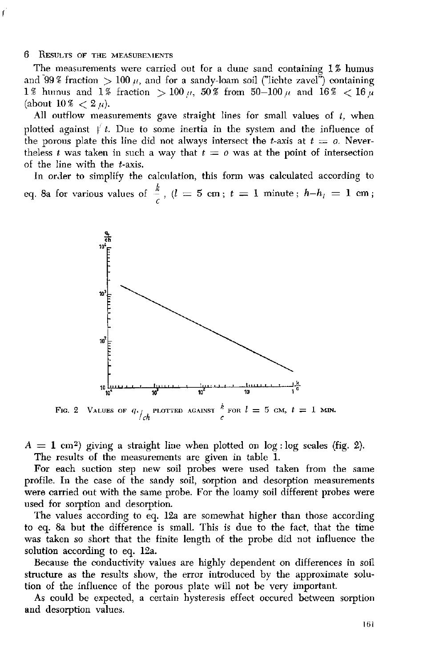#### 6 RESULTS OF THE MEASUREMENTS

The measurements were carried out for a dune sand containing 1% humus and 99 % fraction  $> 100 \mu$ , and for a sandy-loam soil ("lichte zavel") containing 1% humus and 1% fraction  $> 100 \mu$ , 50% from 50-100  $\mu$  and 16%  $< 16 \mu$ (about  $10\% < 2\mu$ ).

All outflow measurements gave straight lines for small values of *t,* when plotted against  $\oint t$ . Due to some inertia in the system and the influence of the porous plate this line did not always intersect the *t*-axis at  $t = o$ . Neverthe less t was taken in such a way that  $t = 0$  was at the point of intersection of the line with the f-axis.

In order to simplify the calculation, this form was calculated according to eq. 8a for various values of  $\frac{\pi}{2}$  ,  $(l=5 \, \text{cm} \, ; \, t=1 \, \text{min}$ *c*   $1 \text{ cm}$ 



 $A = 1$  cm<sup>2</sup>) giving a straight line when plotted on log : log scale The results of the measurements are given in table 1.

For each suction step new soil probes were used taken from the same profile. In the case of the sandy soil, sorption and desorption measurements were carried out with the same probe. For the loamy soil different probes were used for sorption and desorption.

The values according to eq. 12a are somewhat higher than those according to eq. 8a but the difference is small. This is due to the fact, that the time was taken so short that the finite length of the probe did not influence the solution according to eq. 12a.

Because the conductivity values are highly dependent on differences in soil structure as the results show, the error introduced by the approximate solution of the influence of the porous plate will not be very important.

As could be expected, a certain hysteresis effect occured between sorption and desorption values.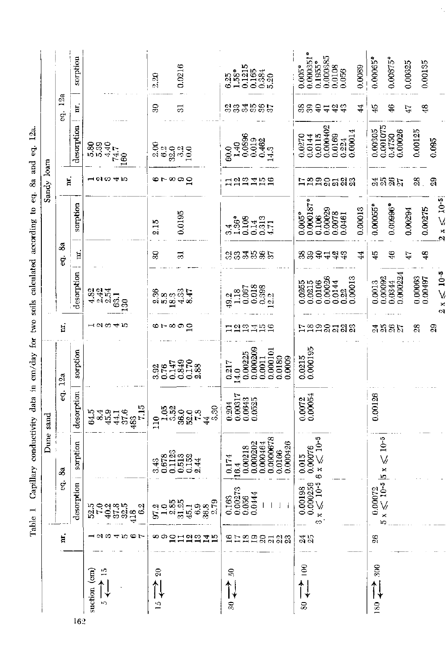|                             |                      |                                                                          | Dune                                                                                | sand                                                                                         |                                                                                                               |                                   |                                                                                                       |                                         |                                                                                                             | Sandy loam                  |                                                                                                   |                                                        |                                                                          |
|-----------------------------|----------------------|--------------------------------------------------------------------------|-------------------------------------------------------------------------------------|----------------------------------------------------------------------------------------------|---------------------------------------------------------------------------------------------------------------|-----------------------------------|-------------------------------------------------------------------------------------------------------|-----------------------------------------|-------------------------------------------------------------------------------------------------------------|-----------------------------|---------------------------------------------------------------------------------------------------|--------------------------------------------------------|--------------------------------------------------------------------------|
|                             | Ħ.                   | ġ                                                                        | వే                                                                                  |                                                                                              | eq. 12a                                                                                                       | Ħ.                                |                                                                                                       | వే<br>ġ.                                |                                                                                                             | Ħ.                          |                                                                                                   | 12a<br>ę.                                              |                                                                          |
| 162                         |                      | desorption                                                               | sorption                                                                            | desorption                                                                                   | sorption                                                                                                      |                                   | desorption                                                                                            | Ħ                                       | sorption                                                                                                    |                             | desorption                                                                                        | Ħ.                                                     | sorption                                                                 |
| i0<br>suction (cm)          | $-0.09900F$          | m<br>Stársad<br>Rudas<br>C)<br>G                                         |                                                                                     | $64.540$<br>$64.540$<br>$64.540$<br>$64.540$<br>$64.540$<br>$64.540$<br>$64.540$<br>$64.540$ |                                                                                                               | $-$ a $\omega$ $ \omega$          | 83431<br>4 2 3 3 4<br>4 2 3 3 9 9                                                                     |                                         |                                                                                                             | ⊣លេ⇔ល                       | $\frac{5.80}{14.7}$<br>$\infty$                                                                   |                                                        |                                                                          |
| $\tilde{S}$<br>۰,           | $^{\infty}$ 99129112 | 01088010805<br>01088010805                                               | 343<br>0.673<br>0.0133<br>0.00044                                                   | 1088862888<br>10                                                                             | ar<br><b>SPH3H8</b><br>000000                                                                                 | $\circ$ r $\circ$ $\circ$ $\circ$ | စ္ကို စပ္ပံု<br>အဲ့အို စပ္ပံု<br>အဲ့အို စစ္ကို အို                                                    | $\mathbf{S}$<br>ನ                       | 0.0195<br>2.15                                                                                              | စ်ားအတိုင                   | $\frac{5}{2}$ $\frac{5}{2}$ $\frac{5}{2}$ $\frac{5}{2}$ $\frac{5}{2}$ $\frac{5}{2}$ $\frac{5}{2}$ | $\mathcal{S}$<br>51                                    | 0.0216<br>2.20                                                           |
| S<br>ఇ                      | <b>Ahaaaaaa</b>      | 0.00273<br>0.056<br>0.0444<br>0.163<br>$\mathbf{I}$                      | 0.0000678<br>0.000202<br>0.000464<br>0.000426<br>0.00218<br>0.0166<br>0.174<br>16.4 | 0.00317<br>0.0643<br>0.0525<br>0.204                                                         | 0.000209<br>$\begin{array}{c} 0.000101 \\ 0.0180 \\ 0.0009 \end{array}$<br>0.00225<br>0.0011<br>0.217<br>14.0 | 122159                            | $\begin{array}{c} 49.2 \\ 1.18 \\ 1.067 \\ 0.018 \\ 0.398 \\ 0.2 \end{array}$                         | SS3985                                  | $1.36$ <sup>*</sup><br>$0.14$<br>$0.313$<br>$0.313$<br>$0.4$<br>3.4                                         | 122762                      | $\frac{1.40}{0.0896}$<br>$0.019$<br>$0.462$<br>$14.3$<br>60.0                                     | asanger                                                | 0.1215<br>0.165<br>0.384<br>5.20<br>$\frac{6.25}{1.58}$                  |
| $\approx$<br>$\overline{8}$ | 35                   | 5<br>$0.00198$<br>$0.000256$<br>$\frac{1}{2}$<br>$\bar{\varkappa}$<br>Ğ, | $0.015$<br>0.00076<br>3 x $\leq 10^{-5}$<br>S                                       | $\frac{0.0072}{0.00054}$                                                                     | $\begin{array}{c} 0.0215 \\ 0.000195 \end{array}$                                                             | ELASTES                           | 0.00026<br>0.00013<br>$\begin{array}{c} 0.0255 \\ 0.0215 \\ 0.0106 \end{array}$<br>$0.0144$<br>$0.22$ | sasawa<br>$\frac{4}{3}$                 | $0.000187$ °<br>$\begin{array}{c} 0.106 \\ 0.00029 \\ 0.0078 \end{array}$<br>0.00013<br>$0.005^*$<br>0.0461 | ESSERS                      | 0.000402<br>0.224<br>0.00014<br>0.0169<br>0.0270<br>0.0144<br>0.0115                              | 33<br>$\mathbf{\mathcal{L}}$<br>국 역 역<br>$\frac{4}{4}$ | 0.000385<br>0.000351<br>0.1955*<br>0.0108<br>$0.005*$<br>0.0089<br>0.056 |
| 300<br>180                  | 26                   | r,<br>0.00072<br>$\frac{15}{5}$<br>$\mathbb{M}$<br>5                     | $10 - 5$<br>V<br>$\frac{1}{2}$                                                      | 0.00126                                                                                      |                                                                                                               | S)<br>ងន្លន្តក្<br>$\mathbb{S}^2$ | $\lesssim 10^{-3}$<br>0.000224<br>$0.0013$<br>$0.00092$<br>$0.00063$<br>$0.00497$<br>0.0344<br>×<br>Ñ | 46<br>$\ddot{z}$<br>$\frac{3}{2}$<br>47 | $x \leq 10^{-5}$<br>0.00996*<br>$0.00055$ <sup>*</sup><br>0.00275<br>0.00294<br>Ō,                          | ងនឹងដ<br>88<br>$\mathbf{a}$ | 0.001075<br>0.00305<br>0.4750<br>0.00026<br>0.00125<br>0.095                                      | 冶<br>$\frac{46}{5}$<br>48<br>47                        | $0.00005^{\circ}$<br>$0.00875$ <sup>*</sup><br>0.00135<br>0.00325        |